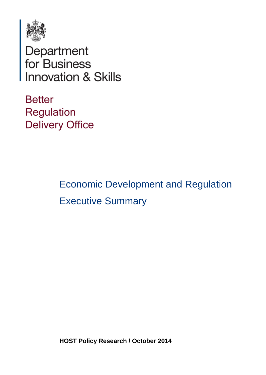

Department<br>for Business<br>Innovation & Skills

**Better Regulation Delivery Office** 

> Economic Development and Regulation Executive Summary

**HOST Policy Research / October 2014**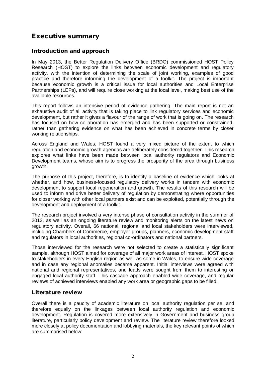# Executive summary

### Introduction and approach

In May 2013, the Better Regulation Delivery Office (BRDO) commissioned HOST Policy Research (HOST) to explore the links between economic development and regulatory activity, with the intention of determining the scale of joint working, examples of good practice and therefore informing the development of a toolkit. The project is important because economic growth is a critical issue for local authorities and Local Enterprise Partnerships (LEPs), and will require close working at the local level, making best use of the available resources.

This report follows an intensive period of evidence gathering. The main report is not an exhaustive audit of all activity that is taking place to link regulatory services and economic development, but rather it gives a flavour of the range of work that is going on. The research has focused on how collaboration has emerged and has been supported or constrained, rather than gathering evidence on what has been achieved in concrete terms by closer working relationships.

Across England and Wales, HOST found a very mixed picture of the extent to which regulation and economic growth agendas are deliberately considered together. This research explores what links have been made between local authority regulators and Economic Development teams, whose aim is to progress the prosperity of the area through business growth.

The purpose of this project, therefore, is to identify a baseline of evidence which looks at whether, and how, business-focused regulatory delivery works in tandem with economic development to support local regeneration and growth. The results of this research will be used to inform and drive better delivery of regulation by demonstrating where opportunities for closer working with other local partners exist and can be exploited, potentially through the development and deployment of a toolkit.

The research project involved a very intense phase of consultation activity in the summer of 2013, as well as an ongoing literature review and monitoring alerts on the latest news on regulatory activity. Overall, 66 national, regional and local stakeholders were interviewed, including Chambers of Commerce, employer groups, planners, economic development staff and regulators in local authorities, regional co-ordinators and national partners.

Those interviewed for the research were not selected to create a statistically significant sample, although HOST aimed for coverage of all major work areas of interest. HOST spoke to stakeholders in every English region as well as some in Wales, to ensure wide coverage and in case any regional anomalies became apparent. Initial interviews were agreed with national and regional representatives, and leads were sought from them to interesting or engaged local authority staff. This cascade approach enabled wide coverage, and regular reviews of achieved interviews enabled any work area or geographic gaps to be filled.

### Literature review

Overall there is a paucity of academic literature on local authority regulation per se, and therefore equally on the linkages between local authority regulation and economic development. Regulation is covered more extensively in Government and business group literature, particularly policy development and review. The literature review therefore looked more closely at policy documentation and lobbying materials, the key relevant points of which are summarised below: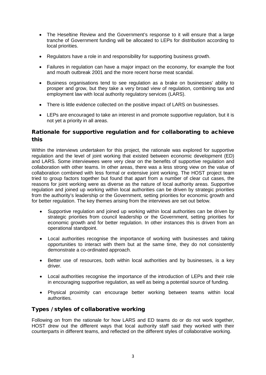- The Heseltine Review and the Government's response to it will ensure that a large tranche of Government funding will be allocated to LEPs for distribution according to local priorities.
- Regulators have a role in and responsibility for supporting business growth.
- Failures in regulation can have a major impact on the economy, for example the foot and mouth outbreak 2001 and the more recent horse meat scandal.
- Business organisations tend to see regulation as a brake on businesses' ability to prosper and grow, but they take a very broad view of regulation, combining tax and employment law with local authority regulatory services (LARS).
- There is little evidence collected on the positive impact of LARS on businesses.
- LEPs are encouraged to take an interest in and promote supportive regulation, but it is not yet a priority in all areas.

## Rationale for supportive regulation and for collaborating to achieve this

Within the interviews undertaken for this project, the rationale was explored for supportive regulation and the level of joint working that existed between economic development (ED) and LARS. Some interviewees were very clear on the benefits of supportive regulation and collaboration with other teams. In other areas, there was a less strong view on the value of collaboration combined with less formal or extensive joint working. The HOST project team tried to group factors together but found that apart from a number of clear cut cases, the reasons for joint working were as diverse as the nature of local authority areas. Supportive regulation and joined up working within local authorities can be driven by strategic priorities from the authority's leadership or the Government, setting priorities for economic growth and for better regulation. The key themes arising from the interviews are set out below.

- Supportive regulation and joined up working within local authorities can be driven by strategic priorities from council leadership or the Government, setting priorities for economic growth and for better regulation. In other instances this is driven from an operational standpoint.
- Local authorities recognise the importance of working with businesses and taking opportunities to interact with them but at the same time, they do not consistently demonstrate a co-ordinated approach.
- Better use of resources, both within local authorities and by businesses, is a key driver.
- Local authorities recognise the importance of the introduction of LEPs and their role in encouraging supportive regulation, as well as being a potential source of funding.
- Physical proximity can encourage better working between teams within local authorities.

## Types / styles of collaborative working

Following on from the rationale for how LARS and ED teams do or do not work together, HOST drew out the different ways that local authority staff said they worked with their counterparts in different teams, and reflected on the different styles of collaborative working.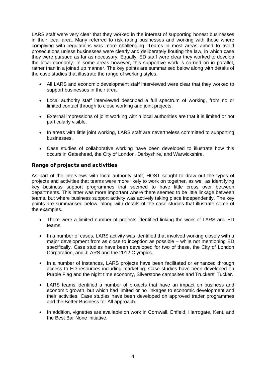LARS staff were very clear that they worked in the interest of supporting honest businesses in their local area. Many referred to risk rating businesses and working with those where complying with regulations was more challenging. Teams in most areas aimed to avoid prosecutions unless businesses were clearly and deliberately flouting the law, in which case they were pursued as far as necessary. Equally, ED staff were clear they worked to develop the local economy. In some areas however, this supportive work is carried on in parallel, rather than in a joined up manner. The key points are summarised below along with details of the case studies that illustrate the range of working styles.

- All LARS and economic development staff interviewed were clear that they worked to support businesses in their area.
- Local authority staff interviewed described a full spectrum of working, from no or limited contact through to close working and joint projects.
- External impressions of joint working within local authorities are that it is limited or not particularly visible.
- In areas with little joint working, LARS staff are nevertheless committed to supporting businesses.
- Case studies of collaborative working have been developed to illustrate how this occurs in Gateshead, the City of London, Derbyshire, and Warwickshire.

#### Range of projects and activities

As part of the interviews with local authority staff, HOST sought to draw out the types of projects and activities that teams were more likely to work on together, as well as identifying key business support programmes that seemed to have little cross over between departments. This latter was more important where there seemed to be little linkage between teams, but where business support activity was actively taking place independently. The key points are summarised below, along with details of the case studies that illustrate some of the examples.

- There were a limited number of projects identified linking the work of LARS and ED teams.
- In a number of cases, LARS activity was identified that involved working closely with a major development from as close to inception as possible – while not mentioning ED specifically. Case studies have been developed for two of these, the City of London Corporation, and JLARS and the 2012 Olympics.
- In a number of instances, LARS projects have been facilitated or enhanced through access to ED resources including marketing. Case studies have been developed on Purple Flag and the night time economy, Silverstone campsites and Truckers' Tucker.
- LARS teams identified a number of projects that have an impact on business and economic growth, but which had limited or no linkages to economic development and their activities. Case studies have been developed on approved trader programmes and the Better Business for All approach.
- In addition, vignettes are available on work in Cornwall, Enfield, Harrogate, Kent, and the Best Bar None initiative.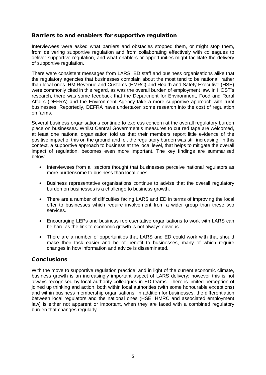### Barriers to and enablers for supportive regulation

Interviewees were asked what barriers and obstacles stopped them, or might stop them, from delivering supportive regulation and from collaborating effectively with colleagues to deliver supportive regulation, and what enablers or opportunities might facilitate the delivery of supportive regulation.

There were consistent messages from LARS, ED staff and business organisations alike that the regulatory agencies that businesses complain about the most tend to be national, rather than local ones. HM Revenue and Customs (HMRC) and Health and Safety Executive (HSE) were commonly cited in this regard, as was the overall burden of employment law. In HOST's research, there was some feedback that the Department for Environment, Food and Rural Affairs (DEFRA) and the Environment Agency take a more supportive approach with rural businesses. Reportedly, DEFRA have undertaken some research into the cost of regulation on farms.

Several business organisations continue to express concern at the overall regulatory burden place on businesses. Whilst Central Government's measures to cut red tape are welcomed, at least one national organisation told us that their members report little evidence of the positive impact of this on the ground and felt the regulatory burden was still increasing. In this context, a supportive approach to business at the local level, that helps to mitigate the overall impact of regulation, becomes even more important. The key findings are summarised below.

- Interviewees from all sectors thought that businesses perceive national regulators as more burdensome to business than local ones.
- Business representative organisations continue to advise that the overall regulatory burden on businesses is a challenge to business growth.
- There are a number of difficulties facing LARS and ED in terms of improving the local offer to businesses which require involvement from a wider group than these two services.
- Encouraging LEPs and business representative organisations to work with LARS can be hard as the link to economic growth is not always obvious.
- There are a number of opportunities that LARS and ED could work with that should make their task easier and be of benefit to businesses, many of which require changes in how information and advice is disseminated.

### **Conclusions**

With the move to supportive regulation practice, and in light of the current economic climate, business growth is an increasingly important aspect of LARS delivery; however this is not always recognised by local authority colleagues in ED teams. There is limited perception of joined up thinking and action, both within local authorities (with some honourable exceptions) and within business membership organisations. In addition for businesses, the differentiation between local regulators and the national ones (HSE, HMRC and associated employment law) is either not apparent or important, when they are faced with a combined regulatory burden that changes regularly.